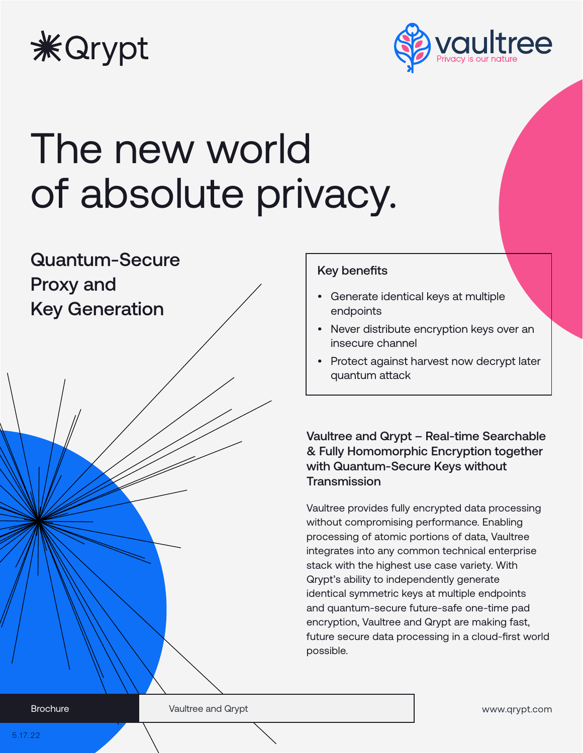



# The new world of absolute privacy.



## Key benefits

- Generate identical keys at multiple endpoints
- Never distribute encryption keys over an insecure channel
- Protect against harvest now decrypt later quantum attack

Vaultree and Qrypt – Real-time Searchable & Fully Homomorphic Encryption together with Quantum-Secure Keys without **Transmission** 

Vaultree provides fully encrypted data processing without compromising performance. Enabling processing of atomic portions of data, Vaultree integrates into any common technical enterprise stack with the highest use case variety. With Qrypt's ability to independently generate identical symmetric keys at multiple endpoints and quantum-secure future-safe one-time pad encryption, Vaultree and Qrypt are making fast, future secure data processing in a cloud-first world possible.

www.qrypt.com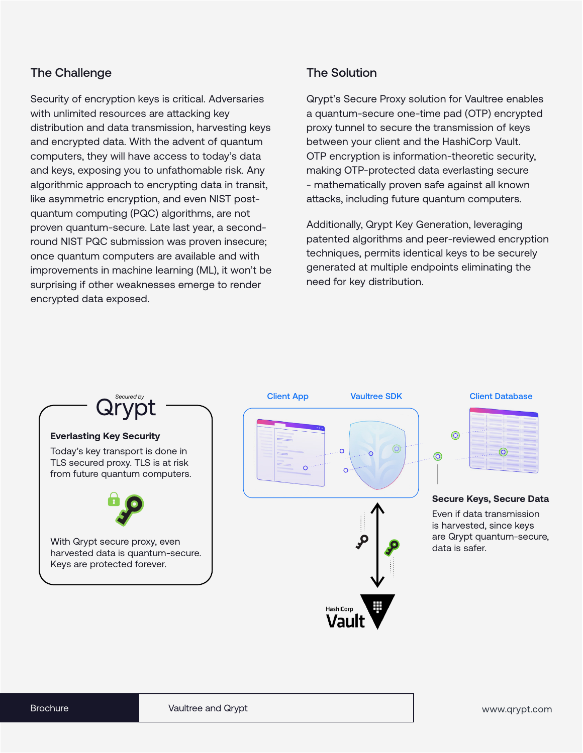### The Challenge

Security of encryption keys is critical. Adversaries with unlimited resources are attacking key distribution and data transmission, harvesting keys and encrypted data. With the advent of quantum computers, they will have access to today's data and keys, exposing you to unfathomable risk. Any algorithmic approach to encrypting data in transit, like asymmetric encryption, and even NIST postquantum computing (PQC) algorithms, are not proven quantum-secure. Late last year, a secondround NIST PQC submission was proven insecure; once quantum computers are available and with improvements in machine learning (ML), it won't be surprising if other weaknesses emerge to render encrypted data exposed.

## The Solution

Qrypt's Secure Proxy solution for Vaultree enables a quantum-secure one-time pad (OTP) encrypted proxy tunnel to secure the transmission of keys between your client and the HashiCorp Vault. OTP encryption is information-theoretic security, making OTP-protected data everlasting secure - mathematically proven safe against all known attacks, including future quantum computers.

Additionally, Qrypt Key Generation, leveraging patented algorithms and peer-reviewed encryption techniques, permits identical keys to be securely generated at multiple endpoints eliminating the need for key distribution.